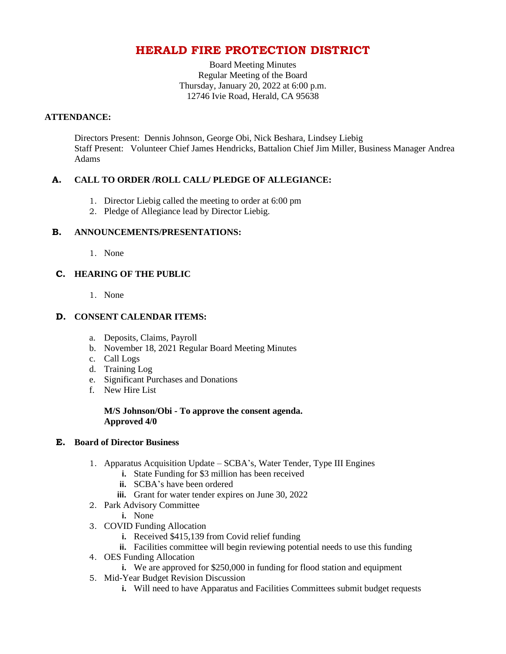# **HERALD FIRE PROTECTION DISTRICT**

Board Meeting Minutes Regular Meeting of the Board Thursday, January 20, 2022 at 6:00 p.m. 12746 Ivie Road, Herald, CA 95638

## **ATTENDANCE:**

Directors Present: Dennis Johnson, George Obi, Nick Beshara, Lindsey Liebig Staff Present: Volunteer Chief James Hendricks, Battalion Chief Jim Miller, Business Manager Andrea Adams

# **A. CALL TO ORDER /ROLL CALL/ PLEDGE OF ALLEGIANCE:**

- 1. Director Liebig called the meeting to order at 6:00 pm
- 2. Pledge of Allegiance lead by Director Liebig.

## **B. ANNOUNCEMENTS/PRESENTATIONS:**

1. None

# **C. HEARING OF THE PUBLIC**

1. None

## **D. CONSENT CALENDAR ITEMS:**

- a. Deposits, Claims, Payroll
- b. November 18, 2021 Regular Board Meeting Minutes
- c. Call Logs
- d. Training Log
- e. Significant Purchases and Donations
- f. New Hire List

#### **M/S Johnson/Obi - To approve the consent agenda. Approved 4/0**

#### **E. Board of Director Business**

- 1. Apparatus Acquisition Update SCBA's, Water Tender, Type III Engines
	- **i.** State Funding for \$3 million has been received
	- **ii.** SCBA's have been ordered
	- **iii.** Grant for water tender expires on June 30, 2022
- 2. Park Advisory Committee
	- **i.** None
- 3. COVID Funding Allocation
	- **i.** Received \$415,139 from Covid relief funding
	- **ii.** Facilities committee will begin reviewing potential needs to use this funding
- 4. OES Funding Allocation
	- **i.** We are approved for \$250,000 in funding for flood station and equipment
- 5. Mid-Year Budget Revision Discussion
	- **i.** Will need to have Apparatus and Facilities Committees submit budget requests